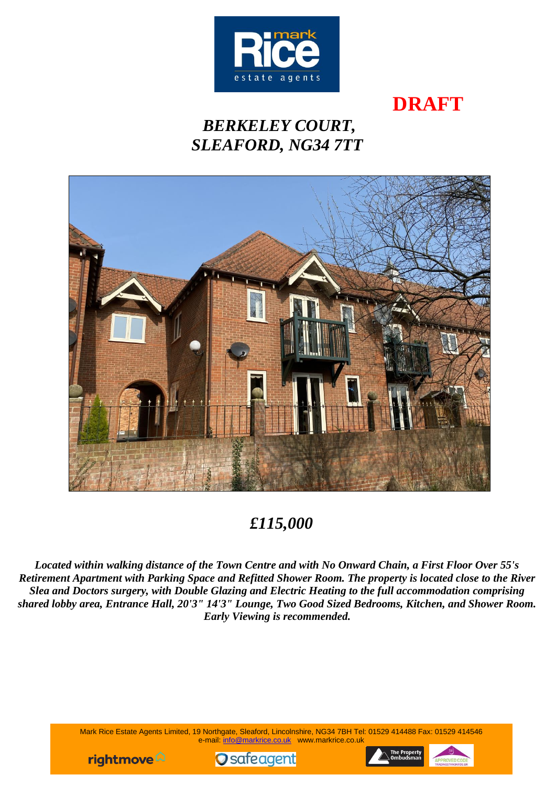

**DRAFT**

# *BERKELEY COURT, SLEAFORD, NG34 7TT*



*£115,000*

*Located within walking distance of the Town Centre and with No Onward Chain, a First Floor Over 55's Retirement Apartment with Parking Space and Refitted Shower Room. The property is located close to the River Slea and Doctors surgery, with Double Glazing and Electric Heating to the full accommodation comprising shared lobby area, Entrance Hall, 20'3" 14'3" Lounge, Two Good Sized Bedrooms, Kitchen, and Shower Room. Early Viewing is recommended.*

> Mark Rice Estate Agents Limited, 19 Northgate, Sleaford, Lincolnshire, NG34 7BH Tel: 01529 414488 Fax: 01529 414546 e-mail: [info@markrice.co.uk](mailto:info@markrice.co.uk) www.markrice.co.uk





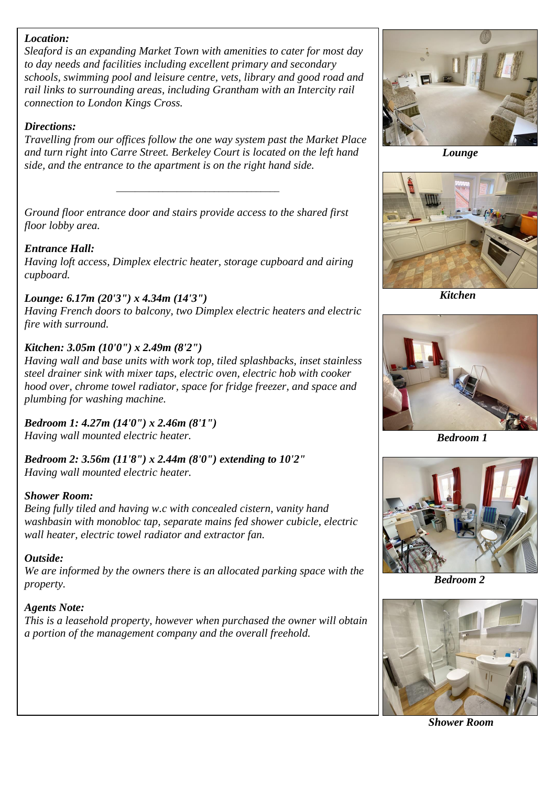#### *Location:*

*Sleaford is an expanding Market Town with amenities to cater for most day to day needs and facilities including excellent primary and secondary schools, swimming pool and leisure centre, vets, library and good road and rail links to surrounding areas, including Grantham with an Intercity rail connection to London Kings Cross.*

## *Directions:*

*Travelling from our offices follow the one way system past the Market Place and turn right into Carre Street. Berkeley Court is located on the left hand side, and the entrance to the apartment is on the right hand side.*

*\_\_\_\_\_\_\_\_\_\_\_\_\_\_\_\_\_\_\_\_\_\_\_\_\_\_\_\_\_\_\_\_\_\_\_*

*Ground floor entrance door and stairs provide access to the shared first floor lobby area.*

# *Entrance Hall:*

*Having loft access, Dimplex electric heater, storage cupboard and airing cupboard.*

# *Lounge: 6.17m (20'3") x 4.34m (14'3")*

*Having French doors to balcony, two Dimplex electric heaters and electric fire with surround.*

### *Kitchen: 3.05m (10'0") x 2.49m (8'2")*

*Having wall and base units with work top, tiled splashbacks, inset stainless steel drainer sink with mixer taps, electric oven, electric hob with cooker hood over, chrome towel radiator, space for fridge freezer, and space and plumbing for washing machine.*

*Bedroom 1: 4.27m (14'0") x 2.46m (8'1") Having wall mounted electric heater.*

*Bedroom 2: 3.56m (11'8") x 2.44m (8'0") extending to 10'2" Having wall mounted electric heater.*

#### *Shower Room:*

*Being fully tiled and having w.c with concealed cistern, vanity hand washbasin with monobloc tap, separate mains fed shower cubicle, electric wall heater, electric towel radiator and extractor fan.*

#### *Outside:*

*We are informed by the owners there is an allocated parking space with the property.*

#### *Agents Note:*

*This is a leasehold property, however when purchased the owner will obtain a portion of the management company and the overall freehold.*



 *Lounge*



 *Kitchen*



 *Bedroom 1*



 *Bedroom 2*



 *Shower Room*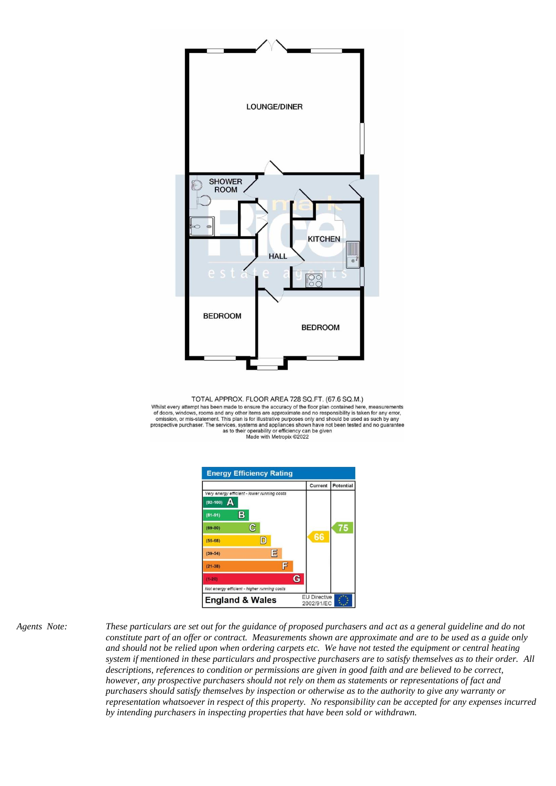

TOTAL APPROX. FLOOR AREA 728 SQ.FT. (67.6 SQ.M.) Whilst every attempt has been made to ensure the accuracy of the floor plan contained here, measurements of doors, windows, rooms and any other items are approximate and no responsibility is taken for any error, or doors, windows, ioonis and any other liens are approximate and no responsibility on this plan is for illustrative purposes only and should be used as such by any<br>prospective purchaser. The services, systems and applianc



*Agents Note: These particulars are set out for the guidance of proposed purchasers and act as a general guideline and do not constitute part of an offer or contract. Measurements shown are approximate and are to be used as a guide only and should not be relied upon when ordering carpets etc. We have not tested the equipment or central heating system if mentioned in these particulars and prospective purchasers are to satisfy themselves as to their order. All descriptions, references to condition or permissions are given in good faith and are believed to be correct, however, any prospective purchasers should not rely on them as statements or representations of fact and purchasers should satisfy themselves by inspection or otherwise as to the authority to give any warranty or representation whatsoever in respect of this property. No responsibility can be accepted for any expenses incurred by intending purchasers in inspecting properties that have been sold or withdrawn.*